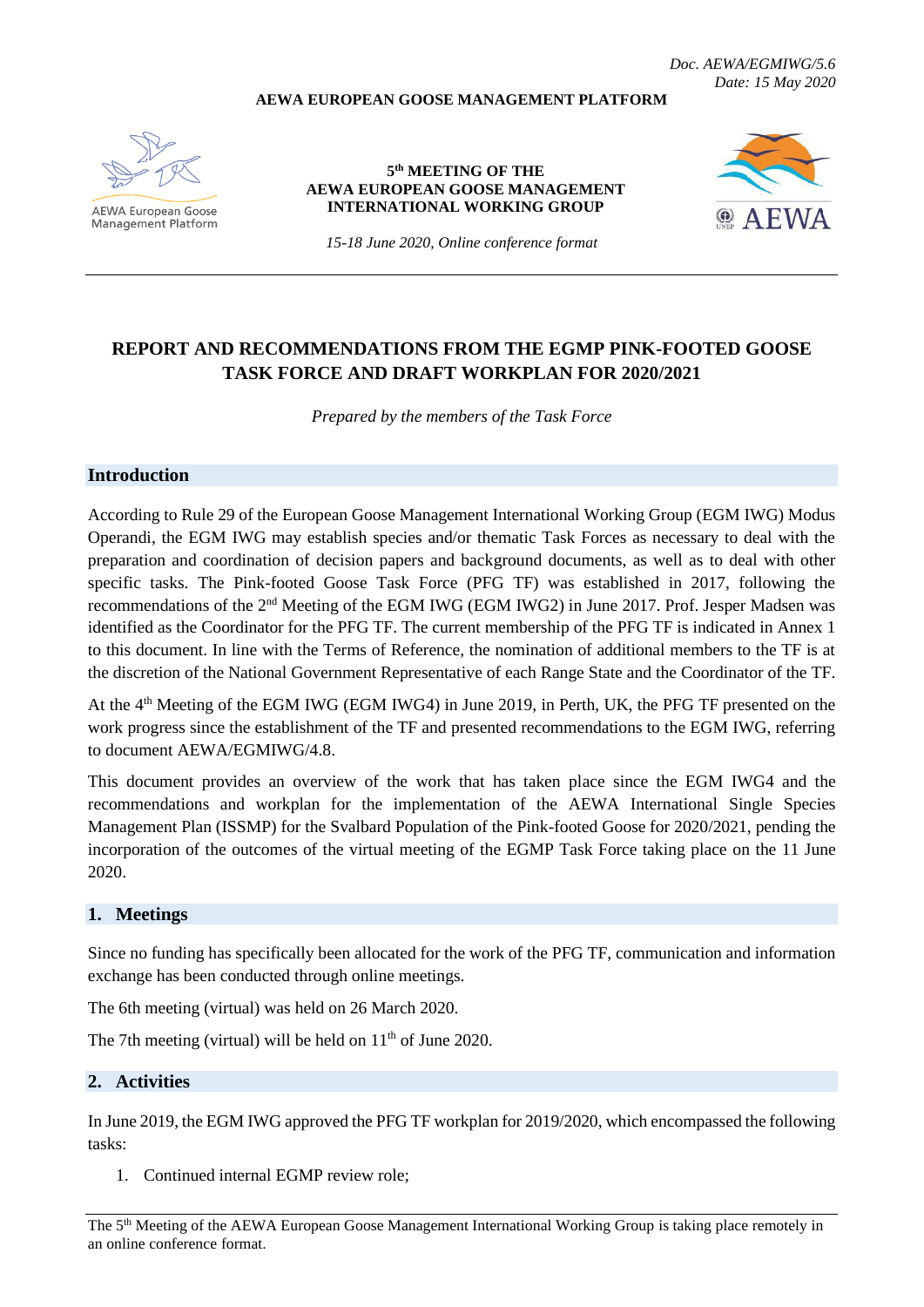**AEWA EUROPEAN GOOSE MANAGEMENT PLATFORM**

*Doc. AEWA/EGMIWG/5.6 Date: 15 May 2020*

**AEWA European Goose Management Platform** 

#### **5 th MEETING OF THE AEWA EUROPEAN GOOSE MANAGEMENT INTERNATIONAL WORKING GROUP**



*15-18 June 2020, Online conference format*

# **REPORT AND RECOMMENDATIONS FROM THE EGMP PINK-FOOTED GOOSE TASK FORCE AND DRAFT WORKPLAN FOR 2020/2021**

*Prepared by the members of the Task Force*

# **Introduction**

According to Rule 29 of the European Goose Management International Working Group (EGM IWG) Modus Operandi, the EGM IWG may establish species and/or thematic Task Forces as necessary to deal with the preparation and coordination of decision papers and background documents, as well as to deal with other specific tasks. The Pink-footed Goose Task Force (PFG TF) was established in 2017, following the recommendations of the 2<sup>nd</sup> Meeting of the EGM IWG (EGM IWG2) in June 2017. Prof. Jesper Madsen was identified as the Coordinator for the PFG TF. The current membership of the PFG TF is indicated in Annex 1 to this document. In line with the Terms of Reference, the nomination of additional members to the TF is at the discretion of the National Government Representative of each Range State and the Coordinator of the TF.

At the 4<sup>th</sup> Meeting of the EGM IWG (EGM IWG4) in June 2019, in Perth, UK, the PFG TF presented on the work progress since the establishment of the TF and presented recommendations to the EGM IWG, referring to document AEWA/EGMIWG/4.8.

This document provides an overview of the work that has taken place since the EGM IWG4 and the recommendations and workplan for the implementation of the AEWA International Single Species Management Plan (ISSMP) for the Svalbard Population of the Pink-footed Goose for 2020/2021, pending the incorporation of the outcomes of the virtual meeting of the EGMP Task Force taking place on the 11 June 2020.

# **1. Meetings**

Since no funding has specifically been allocated for the work of the PFG TF, communication and information exchange has been conducted through online meetings.

The 6th meeting (virtual) was held on 26 March 2020.

The 7th meeting (virtual) will be held on  $11<sup>th</sup>$  of June 2020.

#### **2. Activities**

In June 2019, the EGM IWG approved the PFG TF workplan for 2019/2020, which encompassed the following tasks:

1. Continued internal EGMP review role;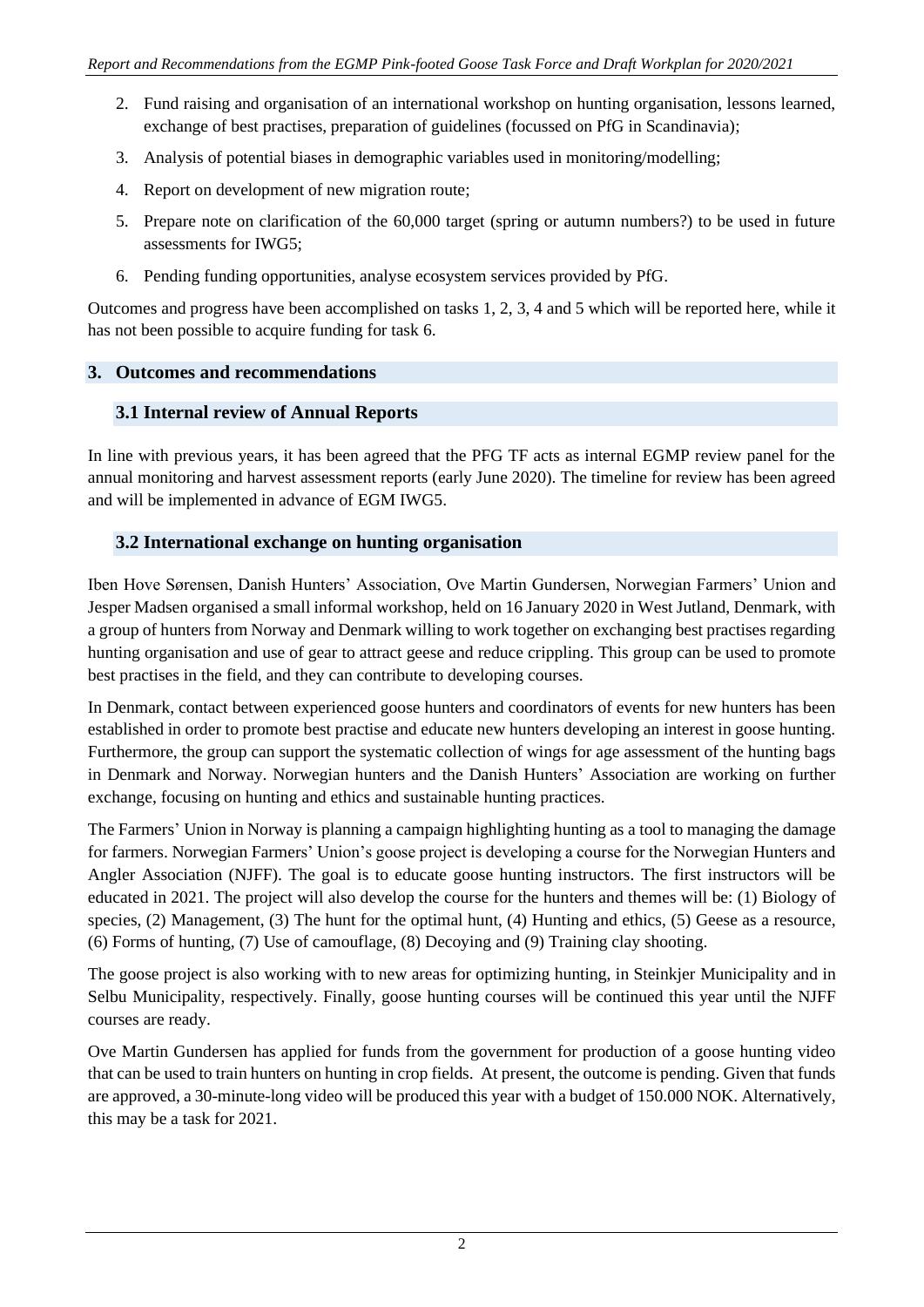- 2. Fund raising and organisation of an international workshop on hunting organisation, lessons learned, exchange of best practises, preparation of guidelines (focussed on PfG in Scandinavia);
- 3. Analysis of potential biases in demographic variables used in monitoring/modelling;
- 4. Report on development of new migration route;
- 5. Prepare note on clarification of the 60,000 target (spring or autumn numbers?) to be used in future assessments for IWG5;
- 6. Pending funding opportunities, analyse ecosystem services provided by PfG.

Outcomes and progress have been accomplished on tasks 1, 2, 3, 4 and 5 which will be reported here, while it has not been possible to acquire funding for task 6.

# **3. Outcomes and recommendations**

# **3.1 Internal review of Annual Reports**

In line with previous years, it has been agreed that the PFG TF acts as internal EGMP review panel for the annual monitoring and harvest assessment reports (early June 2020). The timeline for review has been agreed and will be implemented in advance of EGM IWG5.

# **3.2 International exchange on hunting organisation**

Iben Hove Sørensen, Danish Hunters' Association, Ove Martin Gundersen, Norwegian Farmers' Union and Jesper Madsen organised a small informal workshop, held on 16 January 2020 in West Jutland, Denmark, with a group of hunters from Norway and Denmark willing to work together on exchanging best practises regarding hunting organisation and use of gear to attract geese and reduce crippling. This group can be used to promote best practises in the field, and they can contribute to developing courses.

In Denmark, contact between experienced goose hunters and coordinators of events for new hunters has been established in order to promote best practise and educate new hunters developing an interest in goose hunting. Furthermore, the group can support the systematic collection of wings for age assessment of the hunting bags in Denmark and Norway. Norwegian hunters and the Danish Hunters' Association are working on further exchange, focusing on hunting and ethics and sustainable hunting practices.

The Farmers' Union in Norway is planning a campaign highlighting hunting as a tool to managing the damage for farmers. Norwegian Farmers' Union's goose project is developing a course for the Norwegian Hunters and Angler Association (NJFF). The goal is to educate goose hunting instructors. The first instructors will be educated in 2021. The project will also develop the course for the hunters and themes will be: (1) Biology of species, (2) Management, (3) The hunt for the optimal hunt, (4) Hunting and ethics, (5) Geese as a resource, (6) Forms of hunting, (7) Use of camouflage, (8) Decoying and (9) Training clay shooting.

The goose project is also working with to new areas for optimizing hunting, in Steinkjer Municipality and in Selbu Municipality, respectively. Finally, goose hunting courses will be continued this year until the NJFF courses are ready.

Ove Martin Gundersen has applied for funds from the government for production of a goose hunting video that can be used to train hunters on hunting in crop fields. At present, the outcome is pending. Given that funds are approved, a 30-minute-long video will be produced this year with a budget of 150.000 NOK. Alternatively, this may be a task for 2021.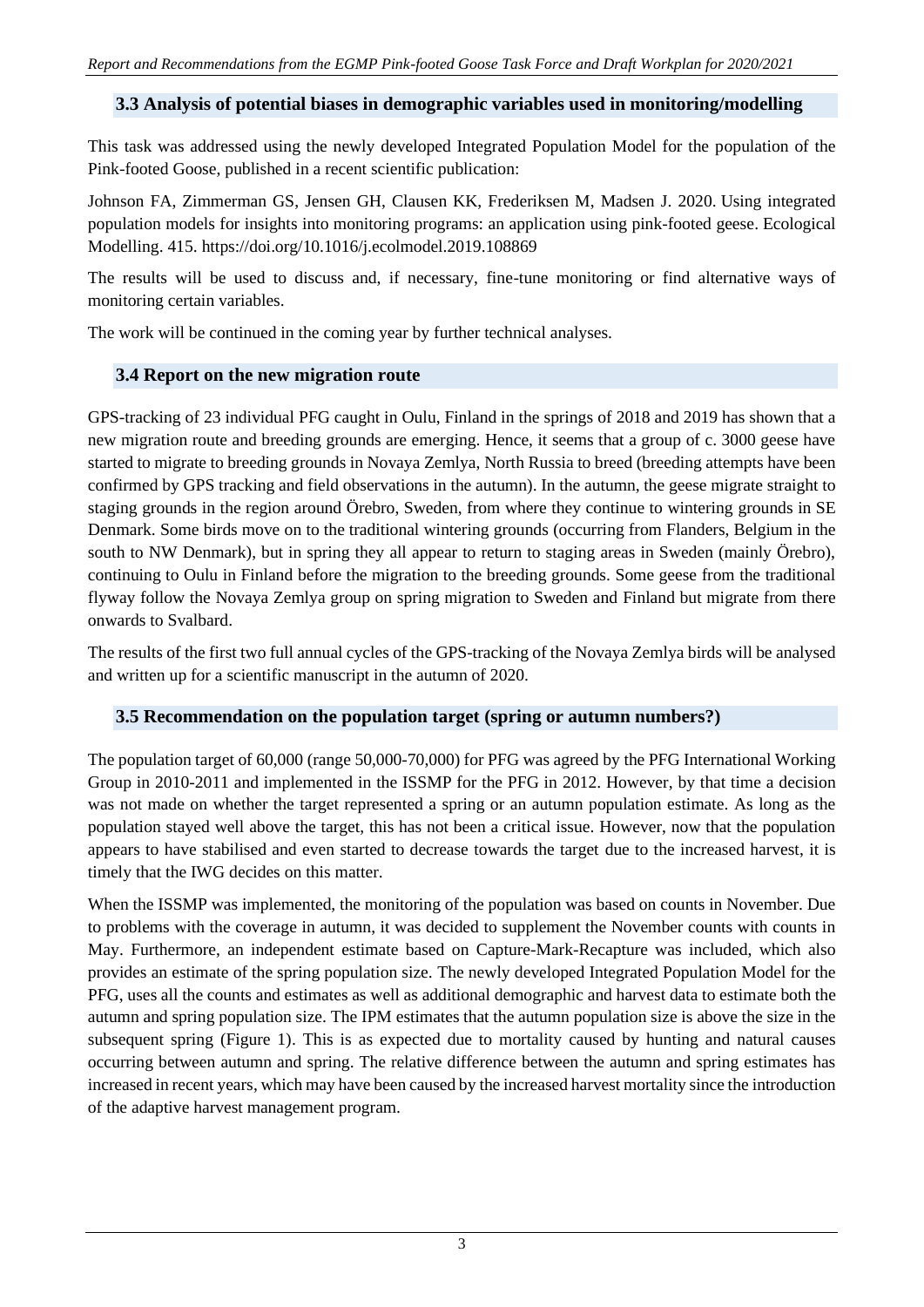#### **3.3 Analysis of potential biases in demographic variables used in monitoring/modelling**

This task was addressed using the newly developed Integrated Population Model for the population of the Pink-footed Goose, published in a recent scientific publication:

Johnson FA, Zimmerman G[S, Jensen GH](https://pure.au.dk/portal/da/persons/gitte-hoej-jensen(2c200c35-1b42-4369-a1f0-994e10967abe).html)[, Clausen KK](https://pure.au.dk/portal/da/persons/kevin-kuhlmann-clausen(a1b5d564-6092-475d-a6e7-623431a314d2).html)[, Frederiksen M](https://pure.au.dk/portal/da/persons/morten-frederiksen(9cf63461-c895-43be-9c83-2193147a3d81).html)[, Madsen J.](https://pure.au.dk/portal/da/persons/jesper-madsen(d68f4bd0-2909-4a5c-b687-e62a33fb5cfb).html) 2020. [Using integrated](https://pure.au.dk/portal/da/publications/using-integrated-population-models-for-insights-into-monitoring-programs(f228f0bf-e86e-452d-8de4-576c15ece592).html)  [population models for insights into monitoring programs: an application using pink-footed geese.](https://pure.au.dk/portal/da/publications/using-integrated-population-models-for-insights-into-monitoring-programs(f228f0bf-e86e-452d-8de4-576c15ece592).html) Ecological Modelling. 415. <https://doi.org/10.1016/j.ecolmodel.2019.108869>

The results will be used to discuss and, if necessary, fine-tune monitoring or find alternative ways of monitoring certain variables.

The work will be continued in the coming year by further technical analyses.

# **3.4 Report on the new migration route**

GPS-tracking of 23 individual PFG caught in Oulu, Finland in the springs of 2018 and 2019 has shown that a new migration route and breeding grounds are emerging. Hence, it seems that a group of c. 3000 geese have started to migrate to breeding grounds in Novaya Zemlya, North Russia to breed (breeding attempts have been confirmed by GPS tracking and field observations in the autumn). In the autumn, the geese migrate straight to staging grounds in the region around Örebro, Sweden, from where they continue to wintering grounds in SE Denmark. Some birds move on to the traditional wintering grounds (occurring from Flanders, Belgium in the south to NW Denmark), but in spring they all appear to return to staging areas in Sweden (mainly Örebro), continuing to Oulu in Finland before the migration to the breeding grounds. Some geese from the traditional flyway follow the Novaya Zemlya group on spring migration to Sweden and Finland but migrate from there onwards to Svalbard.

The results of the first two full annual cycles of the GPS-tracking of the Novaya Zemlya birds will be analysed and written up for a scientific manuscript in the autumn of 2020.

# **3.5 Recommendation on the population target (spring or autumn numbers?)**

The population target of 60,000 (range 50,000-70,000) for PFG was agreed by the PFG International Working Group in 2010-2011 and implemented in the ISSMP for the PFG in 2012. However, by that time a decision was not made on whether the target represented a spring or an autumn population estimate. As long as the population stayed well above the target, this has not been a critical issue. However, now that the population appears to have stabilised and even started to decrease towards the target due to the increased harvest, it is timely that the IWG decides on this matter.

When the ISSMP was implemented, the monitoring of the population was based on counts in November. Due to problems with the coverage in autumn, it was decided to supplement the November counts with counts in May. Furthermore, an independent estimate based on Capture-Mark-Recapture was included, which also provides an estimate of the spring population size. The newly developed Integrated Population Model for the PFG, uses all the counts and estimates as well as additional demographic and harvest data to estimate both the autumn and spring population size. The IPM estimates that the autumn population size is above the size in the subsequent spring (Figure 1). This is as expected due to mortality caused by hunting and natural causes occurring between autumn and spring. The relative difference between the autumn and spring estimates has increased in recent years, which may have been caused by the increased harvest mortality since the introduction of the adaptive harvest management program.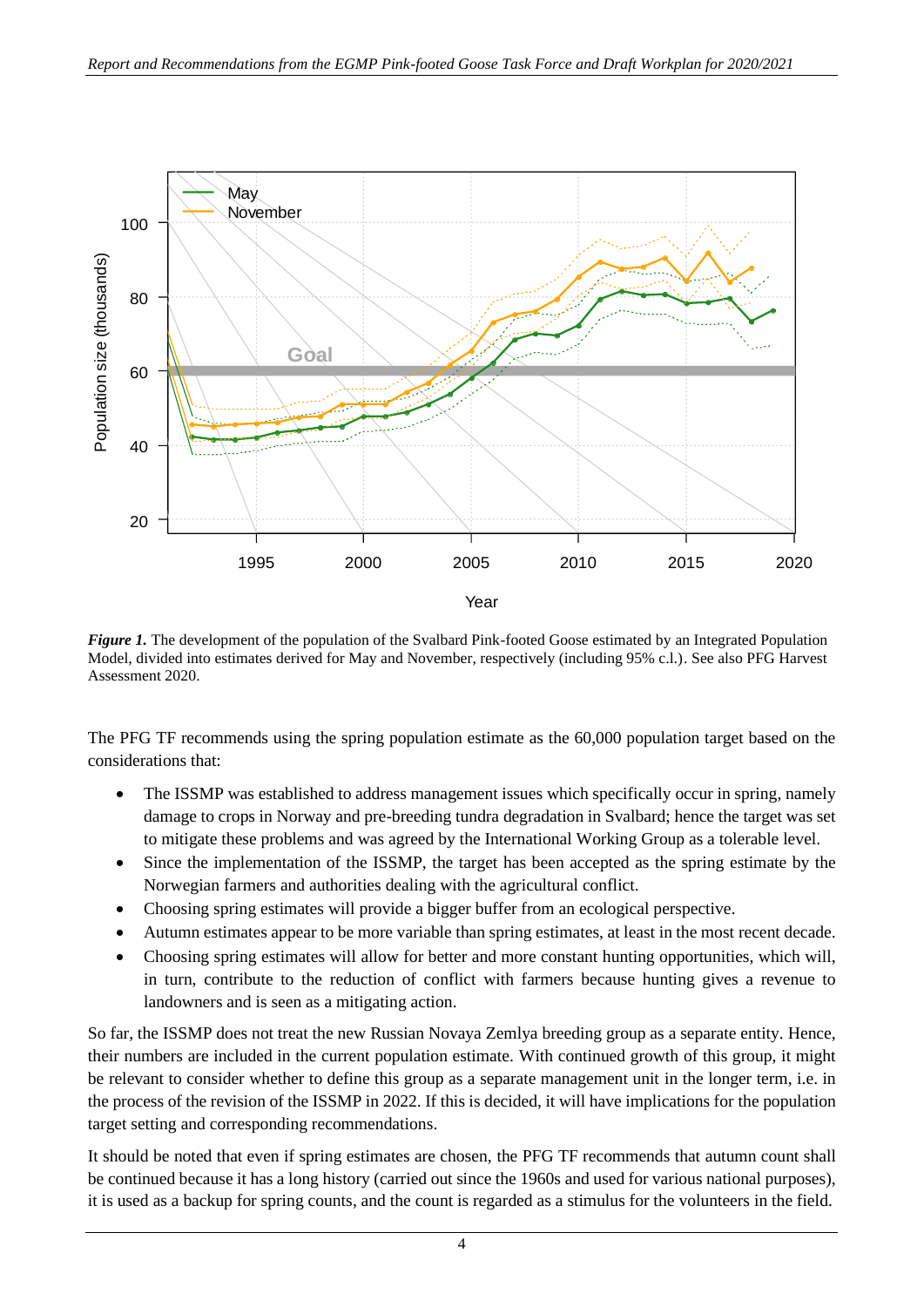

*Figure 1*. The development of the population of the Svalbard Pink-footed Goose estimated by an Integrated Population Model, divided into estimates derived for May and November, respectively (including 95% c.l.). See also PFG Harvest Assessment 2020.

The PFG TF recommends using the spring population estimate as the 60,000 population target based on the considerations that:

- The ISSMP was established to address management issues which specifically occur in spring, namely damage to crops in Norway and pre-breeding tundra degradation in Svalbard; hence the target was set to mitigate these problems and was agreed by the International Working Group as a tolerable level.
- Since the implementation of the ISSMP, the target has been accepted as the spring estimate by the Norwegian farmers and authorities dealing with the agricultural conflict.
- Choosing spring estimates will provide a bigger buffer from an ecological perspective.
- Autumn estimates appear to be more variable than spring estimates, at least in the most recent decade.
- Choosing spring estimates will allow for better and more constant hunting opportunities, which will, in turn, contribute to the reduction of conflict with farmers because hunting gives a revenue to landowners and is seen as a mitigating action.

So far, the ISSMP does not treat the new Russian Novaya Zemlya breeding group as a separate entity. Hence, their numbers are included in the current population estimate. With continued growth of this group, it might be relevant to consider whether to define this group as a separate management unit in the longer term, i.e. in the process of the revision of the ISSMP in 2022. If this is decided, it will have implications for the population target setting and corresponding recommendations.

It should be noted that even if spring estimates are chosen, the PFG TF recommends that autumn count shall be continued because it has a long history (carried out since the 1960s and used for various national purposes), it is used as a backup for spring counts, and the count is regarded as a stimulus for the volunteers in the field.